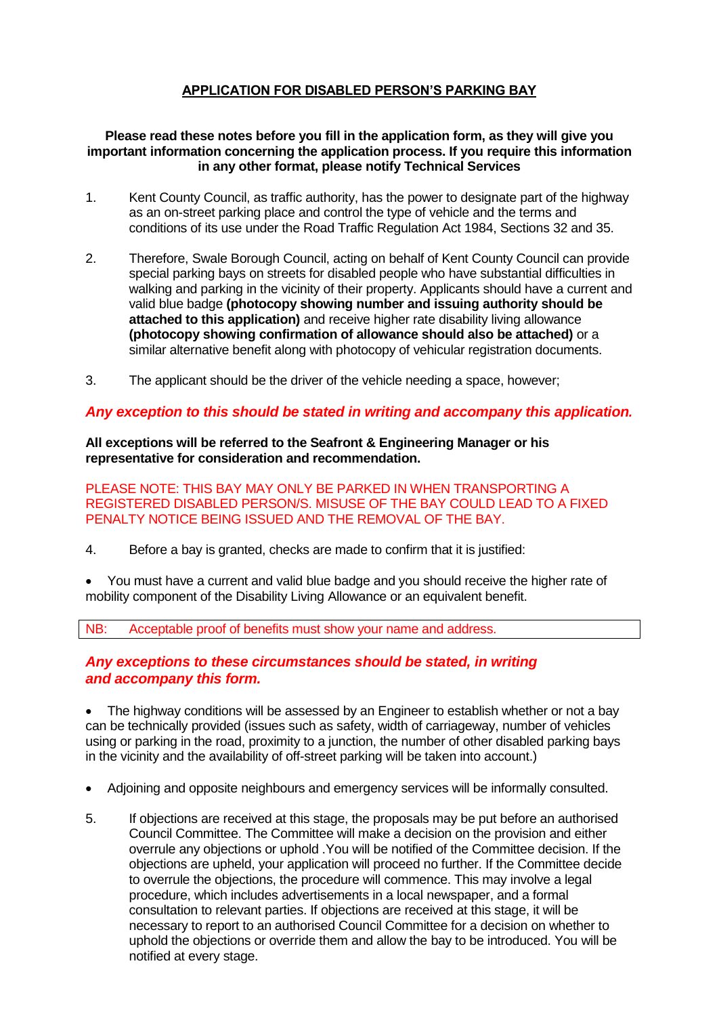# **APPLICATION FOR DISABLED PERSON'S PARKING BAY**

#### **Please read these notes before you fill in the application form, as they will give you important information concerning the application process. If you require this information in any other format, please notify Technical Services**

- 1. Kent County Council, as traffic authority, has the power to designate part of the highway as an on-street parking place and control the type of vehicle and the terms and conditions of its use under the Road Traffic Regulation Act 1984, Sections 32 and 35.
- 2. Therefore, Swale Borough Council, acting on behalf of Kent County Council can provide special parking bays on streets for disabled people who have substantial difficulties in walking and parking in the vicinity of their property. Applicants should have a current and valid blue badge **(photocopy showing number and issuing authority should be attached to this application)** and receive higher rate disability living allowance **(photocopy showing confirmation of allowance should also be attached)** or a similar alternative benefit along with photocopy of vehicular registration documents.
- 3. The applicant should be the driver of the vehicle needing a space, however;

### *Any exception to this should be stated in writing and accompany this application.*

**All exceptions will be referred to the Seafront & Engineering Manager or his representative for consideration and recommendation.**

PLEASE NOTE: THIS BAY MAY ONLY BE PARKED IN WHEN TRANSPORTING A REGISTERED DISABLED PERSON/S. MISUSE OF THE BAY COULD LEAD TO A FIXED PENALTY NOTICE BEING ISSUED AND THE REMOVAL OF THE BAY.

4. Before a bay is granted, checks are made to confirm that it is justified:

 You must have a current and valid blue badge and you should receive the higher rate of mobility component of the Disability Living Allowance or an equivalent benefit.

NB: Acceptable proof of benefits must show your name and address.

## *Any exceptions to these circumstances should be stated, in writing and accompany this form.*

 The highway conditions will be assessed by an Engineer to establish whether or not a bay can be technically provided (issues such as safety, width of carriageway, number of vehicles using or parking in the road, proximity to a junction, the number of other disabled parking bays in the vicinity and the availability of off-street parking will be taken into account.)

- Adjoining and opposite neighbours and emergency services will be informally consulted.
- 5. If objections are received at this stage, the proposals may be put before an authorised Council Committee. The Committee will make a decision on the provision and either overrule any objections or uphold .You will be notified of the Committee decision. If the objections are upheld, your application will proceed no further. If the Committee decide to overrule the objections, the procedure will commence. This may involve a legal procedure, which includes advertisements in a local newspaper, and a formal consultation to relevant parties. If objections are received at this stage, it will be necessary to report to an authorised Council Committee for a decision on whether to uphold the objections or override them and allow the bay to be introduced. You will be notified at every stage.